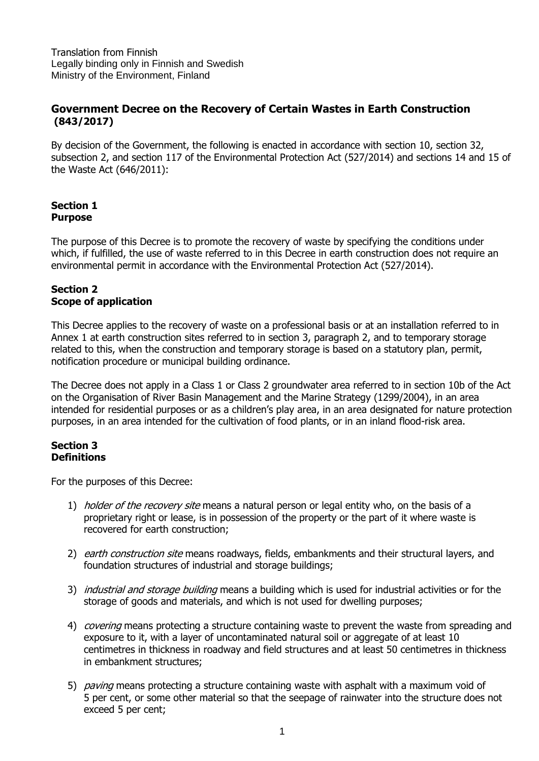Translation from Finnish Legally binding only in Finnish and Swedish Ministry of the Environment, Finland

# **Government Decree on the Recovery of Certain Wastes in Earth Construction (843/2017)**

By decision of the Government, the following is enacted in accordance with section 10, section 32, subsection 2, and section 117 of the Environmental Protection Act (527/2014) and sections 14 and 15 of the Waste Act (646/2011):

### **Section 1 Purpose**

The purpose of this Decree is to promote the recovery of waste by specifying the conditions under which, if fulfilled, the use of waste referred to in this Decree in earth construction does not require an environmental permit in accordance with the Environmental Protection Act (527/2014).

### **Section 2 Scope of application**

This Decree applies to the recovery of waste on a professional basis or at an installation referred to in Annex 1 at earth construction sites referred to in section 3, paragraph 2, and to temporary storage related to this, when the construction and temporary storage is based on a statutory plan, permit, notification procedure or municipal building ordinance.

The Decree does not apply in a Class 1 or Class 2 groundwater area referred to in section 10b of the Act on the Organisation of River Basin Management and the Marine Strategy (1299/2004), in an area intended for residential purposes or as a children's play area, in an area designated for nature protection purposes, in an area intended for the cultivation of food plants, or in an inland flood-risk area.

## **Section 3 Definitions**

For the purposes of this Decree:

- 1) *holder of the recovery site* means a natural person or legal entity who, on the basis of a proprietary right or lease, is in possession of the property or the part of it where waste is recovered for earth construction;
- 2) earth construction site means roadways, fields, embankments and their structural layers, and foundation structures of industrial and storage buildings;
- 3) *industrial and storage building* means a building which is used for industrial activities or for the storage of goods and materials, and which is not used for dwelling purposes;
- 4) *covering* means protecting a structure containing waste to prevent the waste from spreading and exposure to it, with a layer of uncontaminated natural soil or aggregate of at least 10 centimetres in thickness in roadway and field structures and at least 50 centimetres in thickness in embankment structures;
- 5) *paving* means protecting a structure containing waste with asphalt with a maximum void of 5 per cent, or some other material so that the seepage of rainwater into the structure does not exceed 5 per cent;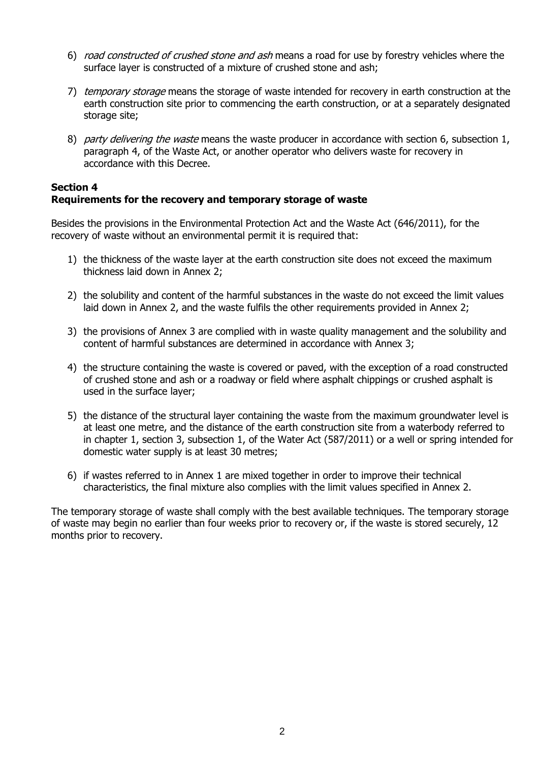- 6) road constructed of crushed stone and ash means a road for use by forestry vehicles where the surface layer is constructed of a mixture of crushed stone and ash;
- 7) temporary storage means the storage of waste intended for recovery in earth construction at the earth construction site prior to commencing the earth construction, or at a separately designated storage site;
- 8) party delivering the waste means the waste producer in accordance with section 6, subsection 1, paragraph 4, of the Waste Act, or another operator who delivers waste for recovery in accordance with this Decree.

### **Section 4 Requirements for the recovery and temporary storage of waste**

Besides the provisions in the Environmental Protection Act and the Waste Act (646/2011), for the recovery of waste without an environmental permit it is required that:

- 1) the thickness of the waste layer at the earth construction site does not exceed the maximum thickness laid down in Annex 2;
- 2) the solubility and content of the harmful substances in the waste do not exceed the limit values laid down in Annex 2, and the waste fulfils the other requirements provided in Annex 2;
- 3) the provisions of Annex 3 are complied with in waste quality management and the solubility and content of harmful substances are determined in accordance with Annex 3;
- 4) the structure containing the waste is covered or paved, with the exception of a road constructed of crushed stone and ash or a roadway or field where asphalt chippings or crushed asphalt is used in the surface layer;
- 5) the distance of the structural layer containing the waste from the maximum groundwater level is at least one metre, and the distance of the earth construction site from a waterbody referred to in chapter 1, section 3, subsection 1, of the Water Act (587/2011) or a well or spring intended for domestic water supply is at least 30 metres;
- 6) if wastes referred to in Annex 1 are mixed together in order to improve their technical characteristics, the final mixture also complies with the limit values specified in Annex 2.

The temporary storage of waste shall comply with the best available techniques. The temporary storage of waste may begin no earlier than four weeks prior to recovery or, if the waste is stored securely, 12 months prior to recovery.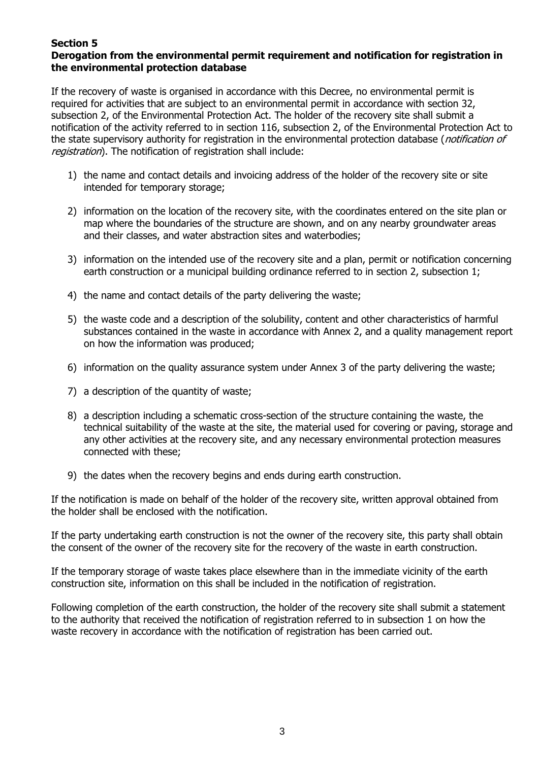# **Section 5**

# **Derogation from the environmental permit requirement and notification for registration in the environmental protection database**

If the recovery of waste is organised in accordance with this Decree, no environmental permit is required for activities that are subject to an environmental permit in accordance with section 32, subsection 2, of the Environmental Protection Act. The holder of the recovery site shall submit a notification of the activity referred to in section 116, subsection 2, of the Environmental Protection Act to the state supervisory authority for registration in the environmental protection database (*notification of* registration). The notification of registration shall include:

- 1) the name and contact details and invoicing address of the holder of the recovery site or site intended for temporary storage;
- 2) information on the location of the recovery site, with the coordinates entered on the site plan or map where the boundaries of the structure are shown, and on any nearby groundwater areas and their classes, and water abstraction sites and waterbodies;
- 3) information on the intended use of the recovery site and a plan, permit or notification concerning earth construction or a municipal building ordinance referred to in section 2, subsection 1;
- 4) the name and contact details of the party delivering the waste;
- 5) the waste code and a description of the solubility, content and other characteristics of harmful substances contained in the waste in accordance with Annex 2, and a quality management report on how the information was produced;
- 6) information on the quality assurance system under Annex 3 of the party delivering the waste;
- 7) a description of the quantity of waste;
- 8) a description including a schematic cross-section of the structure containing the waste, the technical suitability of the waste at the site, the material used for covering or paving, storage and any other activities at the recovery site, and any necessary environmental protection measures connected with these;
- 9) the dates when the recovery begins and ends during earth construction.

If the notification is made on behalf of the holder of the recovery site, written approval obtained from the holder shall be enclosed with the notification.

If the party undertaking earth construction is not the owner of the recovery site, this party shall obtain the consent of the owner of the recovery site for the recovery of the waste in earth construction.

If the temporary storage of waste takes place elsewhere than in the immediate vicinity of the earth construction site, information on this shall be included in the notification of registration.

Following completion of the earth construction, the holder of the recovery site shall submit a statement to the authority that received the notification of registration referred to in subsection 1 on how the waste recovery in accordance with the notification of registration has been carried out.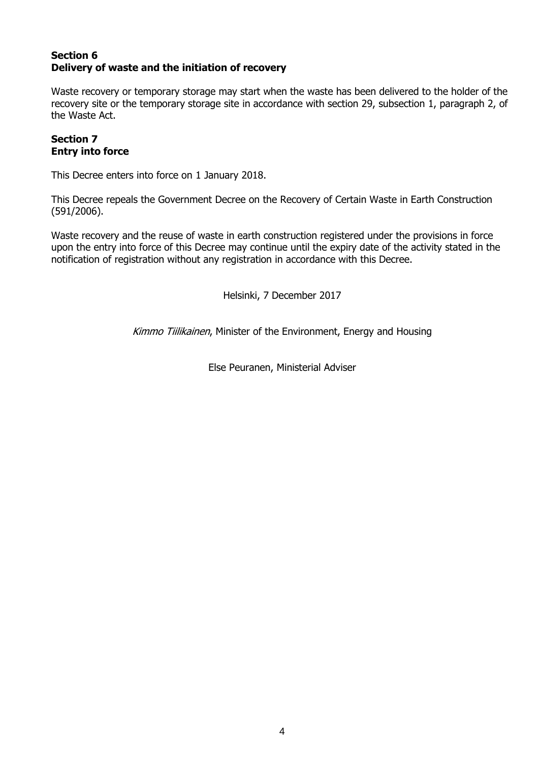# **Section 6 Delivery of waste and the initiation of recovery**

Waste recovery or temporary storage may start when the waste has been delivered to the holder of the recovery site or the temporary storage site in accordance with section 29, subsection 1, paragraph 2, of the Waste Act.

### **Section 7 Entry into force**

This Decree enters into force on 1 January 2018.

This Decree repeals the Government Decree on the Recovery of Certain Waste in Earth Construction (591/2006).

Waste recovery and the reuse of waste in earth construction registered under the provisions in force upon the entry into force of this Decree may continue until the expiry date of the activity stated in the notification of registration without any registration in accordance with this Decree.

Helsinki, 7 December 2017

Kimmo Tiilikainen, Minister of the Environment, Energy and Housing

Else Peuranen, Ministerial Adviser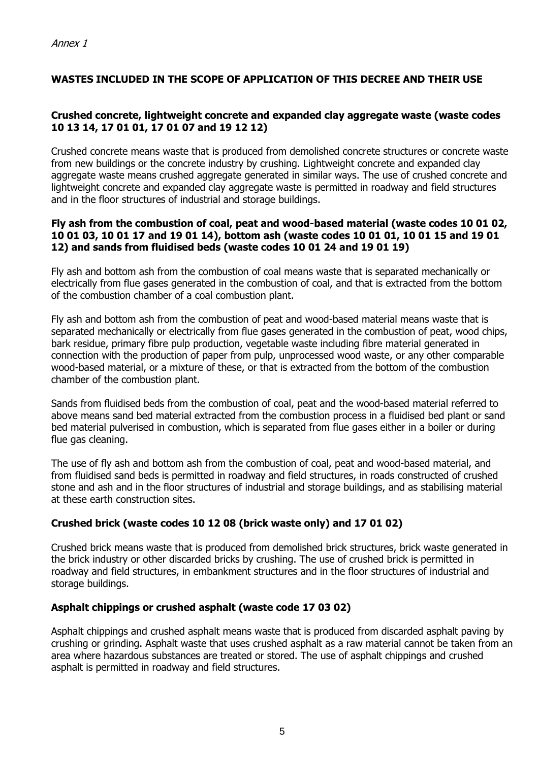# **WASTES INCLUDED IN THE SCOPE OF APPLICATION OF THIS DECREE AND THEIR USE**

### **Crushed concrete, lightweight concrete and expanded clay aggregate waste (waste codes 10 13 14, 17 01 01, 17 01 07 and 19 12 12)**

Crushed concrete means waste that is produced from demolished concrete structures or concrete waste from new buildings or the concrete industry by crushing. Lightweight concrete and expanded clay aggregate waste means crushed aggregate generated in similar ways. The use of crushed concrete and lightweight concrete and expanded clay aggregate waste is permitted in roadway and field structures and in the floor structures of industrial and storage buildings.

#### **Fly ash from the combustion of coal, peat and wood-based material (waste codes 10 01 02, 10 01 03, 10 01 17 and 19 01 14), bottom ash (waste codes 10 01 01, 10 01 15 and 19 01 12) and sands from fluidised beds (waste codes 10 01 24 and 19 01 19)**

Fly ash and bottom ash from the combustion of coal means waste that is separated mechanically or electrically from flue gases generated in the combustion of coal, and that is extracted from the bottom of the combustion chamber of a coal combustion plant.

Fly ash and bottom ash from the combustion of peat and wood-based material means waste that is separated mechanically or electrically from flue gases generated in the combustion of peat, wood chips, bark residue, primary fibre pulp production, vegetable waste including fibre material generated in connection with the production of paper from pulp, unprocessed wood waste, or any other comparable wood-based material, or a mixture of these, or that is extracted from the bottom of the combustion chamber of the combustion plant.

Sands from fluidised beds from the combustion of coal, peat and the wood-based material referred to above means sand bed material extracted from the combustion process in a fluidised bed plant or sand bed material pulverised in combustion, which is separated from flue gases either in a boiler or during flue gas cleaning.

The use of fly ash and bottom ash from the combustion of coal, peat and wood-based material, and from fluidised sand beds is permitted in roadway and field structures, in roads constructed of crushed stone and ash and in the floor structures of industrial and storage buildings, and as stabilising material at these earth construction sites.

## **Crushed brick (waste codes 10 12 08 (brick waste only) and 17 01 02)**

Crushed brick means waste that is produced from demolished brick structures, brick waste generated in the brick industry or other discarded bricks by crushing. The use of crushed brick is permitted in roadway and field structures, in embankment structures and in the floor structures of industrial and storage buildings.

## **Asphalt chippings or crushed asphalt (waste code 17 03 02)**

Asphalt chippings and crushed asphalt means waste that is produced from discarded asphalt paving by crushing or grinding. Asphalt waste that uses crushed asphalt as a raw material cannot be taken from an area where hazardous substances are treated or stored. The use of asphalt chippings and crushed asphalt is permitted in roadway and field structures.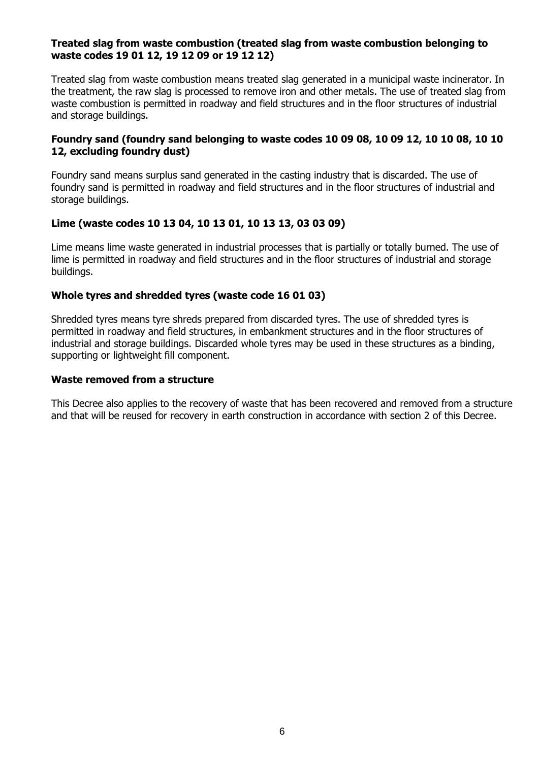### **Treated slag from waste combustion (treated slag from waste combustion belonging to waste codes 19 01 12, 19 12 09 or 19 12 12)**

Treated slag from waste combustion means treated slag generated in a municipal waste incinerator. In the treatment, the raw slag is processed to remove iron and other metals. The use of treated slag from waste combustion is permitted in roadway and field structures and in the floor structures of industrial and storage buildings.

### **Foundry sand (foundry sand belonging to waste codes 10 09 08, 10 09 12, 10 10 08, 10 10 12, excluding foundry dust)**

Foundry sand means surplus sand generated in the casting industry that is discarded. The use of foundry sand is permitted in roadway and field structures and in the floor structures of industrial and storage buildings.

### **Lime (waste codes 10 13 04, 10 13 01, 10 13 13, 03 03 09)**

Lime means lime waste generated in industrial processes that is partially or totally burned. The use of lime is permitted in roadway and field structures and in the floor structures of industrial and storage buildings.

### **Whole tyres and shredded tyres (waste code 16 01 03)**

Shredded tyres means tyre shreds prepared from discarded tyres. The use of shredded tyres is permitted in roadway and field structures, in embankment structures and in the floor structures of industrial and storage buildings. Discarded whole tyres may be used in these structures as a binding, supporting or lightweight fill component.

#### **Waste removed from a structure**

This Decree also applies to the recovery of waste that has been recovered and removed from a structure and that will be reused for recovery in earth construction in accordance with section 2 of this Decree.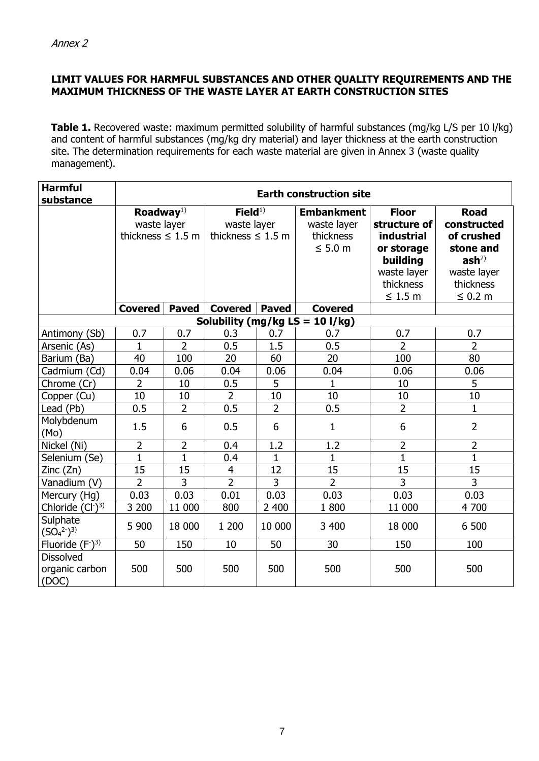# **LIMIT VALUES FOR HARMFUL SUBSTANCES AND OTHER QUALITY REQUIREMENTS AND THE MAXIMUM THICKNESS OF THE WASTE LAYER AT EARTH CONSTRUCTION SITES**

**Table 1.** Recovered waste: maximum permitted solubility of harmful substances (mg/kg L/S per 10 l/kg) and content of harmful substances (mg/kg dry material) and layer thickness at the earth construction site. The determination requirements for each waste material are given in Annex 3 (waste quality management).

| <b>Harmful</b><br>substance                 | <b>Earth construction site</b>                                 |                |                                                             |                |                                                               |                                                                                                                         |                                                                                                                       |
|---------------------------------------------|----------------------------------------------------------------|----------------|-------------------------------------------------------------|----------------|---------------------------------------------------------------|-------------------------------------------------------------------------------------------------------------------------|-----------------------------------------------------------------------------------------------------------------------|
|                                             | Roadway <sup>1)</sup><br>waste layer<br>thickness $\leq 1.5$ m |                | Field <sup>1</sup><br>waste layer<br>thickness $\leq 1.5$ m |                | <b>Embankment</b><br>waste layer<br>thickness<br>$\leq 5.0$ m | <b>Floor</b><br>structure of<br><b>industrial</b><br>or storage<br>building<br>waste layer<br>thickness<br>$\leq 1.5$ m | <b>Road</b><br>constructed<br>of crushed<br>stone and<br>ash <sup>2</sup><br>waste layer<br>thickness<br>$\leq 0.2$ m |
|                                             | <b>Covered</b>                                                 | <b>Paved</b>   | <b>Covered</b>                                              | <b>Paved</b>   | <b>Covered</b>                                                |                                                                                                                         |                                                                                                                       |
| Solubility (mg/kg LS = 10 l/kg)             |                                                                |                |                                                             |                |                                                               |                                                                                                                         |                                                                                                                       |
| Antimony (Sb)                               | 0.7                                                            | 0.7            | 0.3                                                         | 0.7            | 0.7                                                           | 0.7                                                                                                                     | 0.7                                                                                                                   |
| Arsenic (As)                                | 1                                                              | $\overline{2}$ | 0.5                                                         | 1.5            | 0.5                                                           | 2                                                                                                                       | $\overline{2}$                                                                                                        |
| Barium (Ba)                                 | 40                                                             | 100            | 20                                                          | 60             | 20                                                            | 100                                                                                                                     | 80                                                                                                                    |
| Cadmium (Cd)                                | 0.04                                                           | 0.06           | 0.04                                                        | 0.06           | 0.04                                                          | 0.06                                                                                                                    | 0.06                                                                                                                  |
| Chrome (Cr)                                 | $\overline{2}$                                                 | 10             | 0.5                                                         | 5              | 1                                                             | 10                                                                                                                      | 5                                                                                                                     |
| Copper (Cu)                                 | 10                                                             | 10             | $\overline{2}$                                              | 10             | 10                                                            | 10                                                                                                                      | 10                                                                                                                    |
| Lead (Pb)                                   | 0.5                                                            | $\overline{2}$ | 0.5                                                         | $\overline{2}$ | 0.5                                                           | $\overline{2}$                                                                                                          | $\mathbf 1$                                                                                                           |
| Molybdenum<br>(Mo)                          | 1.5                                                            | 6              | 0.5                                                         | 6              | $\mathbf{1}$                                                  | 6                                                                                                                       | $\overline{2}$                                                                                                        |
| Nickel (Ni)                                 | $\overline{2}$                                                 | $\overline{2}$ | 0.4                                                         | 1.2            | 1.2                                                           | $\overline{2}$                                                                                                          | $\overline{2}$                                                                                                        |
| Selenium (Se)                               | $\mathbf{1}$                                                   | $\mathbf{1}$   | 0.4                                                         | $\mathbf{1}$   | $\mathbf{1}$                                                  | $\mathbf{1}$                                                                                                            | $\mathbf{1}$                                                                                                          |
| Zinc (Zn)                                   | 15                                                             | 15             | $\overline{4}$                                              | 12             | 15                                                            | 15                                                                                                                      | 15                                                                                                                    |
| Vanadium (V)                                | $\overline{2}$                                                 | $\overline{3}$ | $\overline{2}$                                              | 3              | $\overline{2}$                                                | $\overline{3}$                                                                                                          | $\overline{3}$                                                                                                        |
| Mercury (Hg)                                | 0.03                                                           | 0.03           | 0.01                                                        | 0.03           | 0.03                                                          | 0.03                                                                                                                    | 0.03                                                                                                                  |
| Chloride $(Cl-)3$                           | 3 200                                                          | 11 000         | 800                                                         | 2 400          | 1800                                                          | 11 000                                                                                                                  | 4 700                                                                                                                 |
| Sulphate<br>$(SO_4^{2-})^{3)}$              | 5 900                                                          | 18 000         | 1 200                                                       | 10 000         | 3 400                                                         | 18 000                                                                                                                  | 6 500                                                                                                                 |
| Fluoride $(F^{\text{-}})^3$                 | 50                                                             | 150            | 10                                                          | 50             | 30                                                            | 150                                                                                                                     | 100                                                                                                                   |
| <b>Dissolved</b><br>organic carbon<br>(DOC) | 500                                                            | 500            | 500                                                         | 500            | 500                                                           | 500                                                                                                                     | 500                                                                                                                   |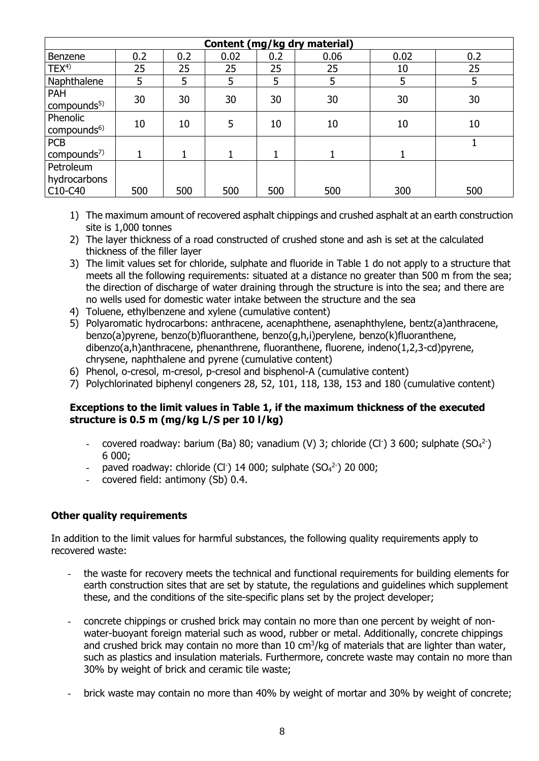| Content (mg/kg dry material)                                  |     |     |      |     |      |      |     |
|---------------------------------------------------------------|-----|-----|------|-----|------|------|-----|
| Benzene                                                       | 0.2 | 0.2 | 0.02 | 0.2 | 0.06 | 0.02 | 0.2 |
| TEX <sup>4</sup>                                              | 25  | 25  | 25   | 25  | 25   | 10   | 25  |
| Naphthalene                                                   | 5   | 5   | 5    | 5   | 5    | 5    | 5   |
| <b>PAH</b><br>compounds <sup>5)</sup>                         | 30  | 30  | 30   | 30  | 30   | 30   | 30  |
| Phenolic<br>compounds <sup>6)</sup>                           | 10  | 10  | 5    | 10  | 10   | 10   | 10  |
| <b>PCB</b><br>compounds $7$ )                                 |     |     |      | 1   |      |      |     |
| Petroleum<br>hydrocarbons<br>C <sub>10</sub> -C <sub>40</sub> | 500 | 500 | 500  | 500 | 500  | 300  | 500 |

- 1) The maximum amount of recovered asphalt chippings and crushed asphalt at an earth construction site is 1,000 tonnes
- 2) The layer thickness of a road constructed of crushed stone and ash is set at the calculated thickness of the filler layer
- 3) The limit values set for chloride, sulphate and fluoride in Table 1 do not apply to a structure that meets all the following requirements: situated at a distance no greater than 500 m from the sea; the direction of discharge of water draining through the structure is into the sea; and there are no wells used for domestic water intake between the structure and the sea
- 4) Toluene, ethylbenzene and xylene (cumulative content)
- 5) Polyaromatic hydrocarbons: anthracene, acenaphthene, asenaphthylene, bentz(a)anthracene, benzo(a)pyrene, benzo(b)fluoranthene, benzo(g,h,i)perylene, benzo(k)fluoranthene, dibenzo(a,h)anthracene, phenanthrene, fluoranthene, fluorene, indeno(1,2,3-cd)pyrene, chrysene, naphthalene and pyrene (cumulative content)
- 6) Phenol, o-cresol, m-cresol, p-cresol and bisphenol-A (cumulative content)
- 7) Polychlorinated biphenyl congeners 28, 52, 101, 118, 138, 153 and 180 (cumulative content)

### **Exceptions to the limit values in Table 1, if the maximum thickness of the executed structure is 0.5 m (mg/kg L/S per 10 l/kg)**

- covered roadway: barium (Ba) 80; vanadium (V) 3; chloride (Cl<sup>-</sup>) 3 600; sulphate (SO<sub>4</sub><sup>2-</sup>) 6 000;
- paved roadway: chloride (Cl<sup>-</sup>) 14 000; sulphate (SO<sub>4</sub><sup>2-</sup>) 20 000;
- covered field: antimony (Sb) 0.4.

#### **Other quality requirements**

In addition to the limit values for harmful substances, the following quality requirements apply to recovered waste:

- the waste for recovery meets the technical and functional requirements for building elements for earth construction sites that are set by statute, the regulations and guidelines which supplement these, and the conditions of the site-specific plans set by the project developer;
- concrete chippings or crushed brick may contain no more than one percent by weight of nonwater-buoyant foreign material such as wood, rubber or metal. Additionally, concrete chippings and crushed brick may contain no more than 10  $\text{cm}^3/\text{kg}$  of materials that are lighter than water, such as plastics and insulation materials. Furthermore, concrete waste may contain no more than 30% by weight of brick and ceramic tile waste;
- brick waste may contain no more than 40% by weight of mortar and 30% by weight of concrete;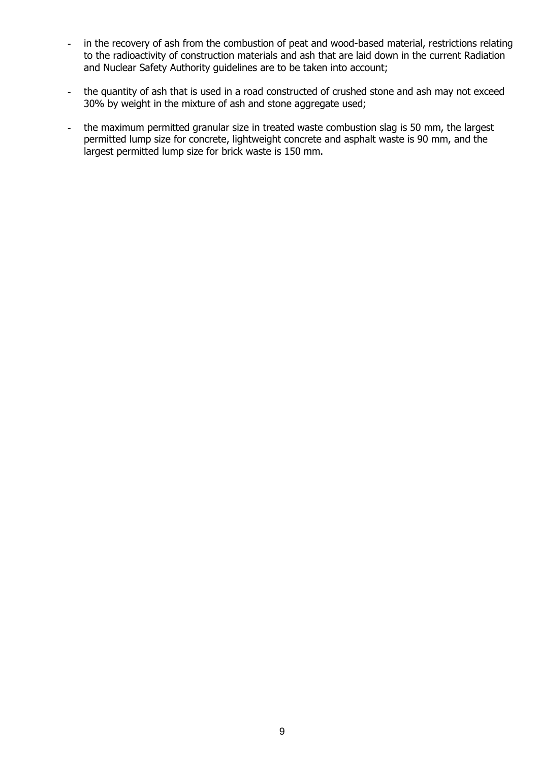- in the recovery of ash from the combustion of peat and wood-based material, restrictions relating to the radioactivity of construction materials and ash that are laid down in the current Radiation and Nuclear Safety Authority guidelines are to be taken into account;
- the quantity of ash that is used in a road constructed of crushed stone and ash may not exceed 30% by weight in the mixture of ash and stone aggregate used;
- the maximum permitted granular size in treated waste combustion slag is 50 mm, the largest permitted lump size for concrete, lightweight concrete and asphalt waste is 90 mm, and the largest permitted lump size for brick waste is 150 mm.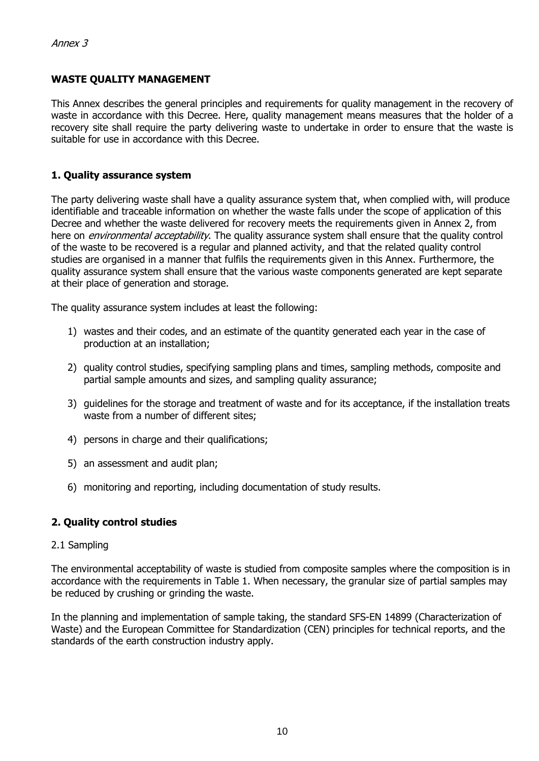# **WASTE QUALITY MANAGEMENT**

This Annex describes the general principles and requirements for quality management in the recovery of waste in accordance with this Decree. Here, quality management means measures that the holder of a recovery site shall require the party delivering waste to undertake in order to ensure that the waste is suitable for use in accordance with this Decree.

### **1. Quality assurance system**

The party delivering waste shall have a quality assurance system that, when complied with, will produce identifiable and traceable information on whether the waste falls under the scope of application of this Decree and whether the waste delivered for recovery meets the requirements given in Annex 2, from here on *environmental acceptability*. The quality assurance system shall ensure that the quality control of the waste to be recovered is a regular and planned activity, and that the related quality control studies are organised in a manner that fulfils the requirements given in this Annex. Furthermore, the quality assurance system shall ensure that the various waste components generated are kept separate at their place of generation and storage.

The quality assurance system includes at least the following:

- 1) wastes and their codes, and an estimate of the quantity generated each year in the case of production at an installation;
- 2) quality control studies, specifying sampling plans and times, sampling methods, composite and partial sample amounts and sizes, and sampling quality assurance;
- 3) guidelines for the storage and treatment of waste and for its acceptance, if the installation treats waste from a number of different sites;
- 4) persons in charge and their qualifications;
- 5) an assessment and audit plan;
- 6) monitoring and reporting, including documentation of study results.

## **2. Quality control studies**

#### 2.1 Sampling

The environmental acceptability of waste is studied from composite samples where the composition is in accordance with the requirements in Table 1. When necessary, the granular size of partial samples may be reduced by crushing or grinding the waste.

In the planning and implementation of sample taking, the standard SFS-EN 14899 (Characterization of Waste) and the European Committee for Standardization (CEN) principles for technical reports, and the standards of the earth construction industry apply.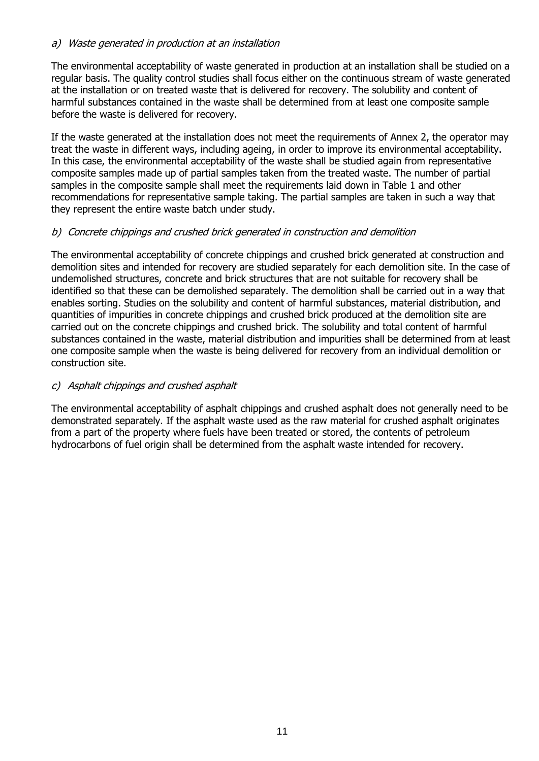## a) Waste generated in production at an installation

The environmental acceptability of waste generated in production at an installation shall be studied on a regular basis. The quality control studies shall focus either on the continuous stream of waste generated at the installation or on treated waste that is delivered for recovery. The solubility and content of harmful substances contained in the waste shall be determined from at least one composite sample before the waste is delivered for recovery.

If the waste generated at the installation does not meet the requirements of Annex 2, the operator may treat the waste in different ways, including ageing, in order to improve its environmental acceptability. In this case, the environmental acceptability of the waste shall be studied again from representative composite samples made up of partial samples taken from the treated waste. The number of partial samples in the composite sample shall meet the requirements laid down in Table 1 and other recommendations for representative sample taking. The partial samples are taken in such a way that they represent the entire waste batch under study.

## b) Concrete chippings and crushed brick generated in construction and demolition

The environmental acceptability of concrete chippings and crushed brick generated at construction and demolition sites and intended for recovery are studied separately for each demolition site. In the case of undemolished structures, concrete and brick structures that are not suitable for recovery shall be identified so that these can be demolished separately. The demolition shall be carried out in a way that enables sorting. Studies on the solubility and content of harmful substances, material distribution, and quantities of impurities in concrete chippings and crushed brick produced at the demolition site are carried out on the concrete chippings and crushed brick. The solubility and total content of harmful substances contained in the waste, material distribution and impurities shall be determined from at least one composite sample when the waste is being delivered for recovery from an individual demolition or construction site.

## c) Asphalt chippings and crushed asphalt

The environmental acceptability of asphalt chippings and crushed asphalt does not generally need to be demonstrated separately. If the asphalt waste used as the raw material for crushed asphalt originates from a part of the property where fuels have been treated or stored, the contents of petroleum hydrocarbons of fuel origin shall be determined from the asphalt waste intended for recovery.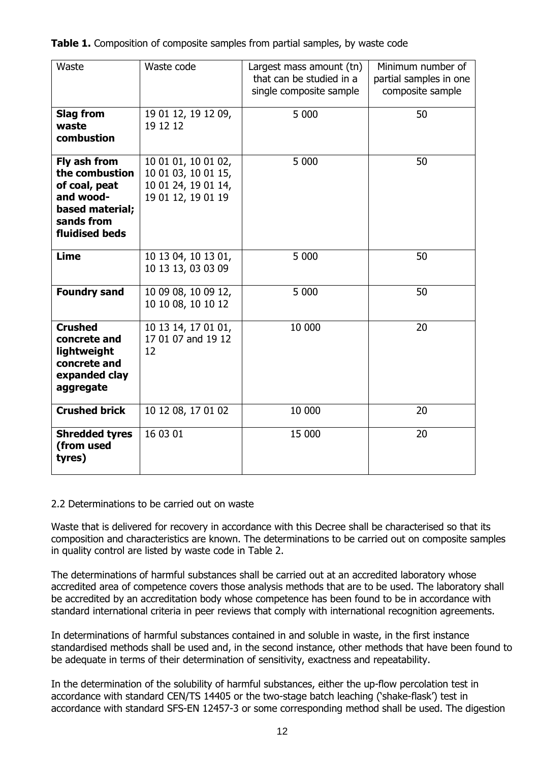| Waste                                                                                                           | Waste code                                                                              | Largest mass amount (tn)<br>that can be studied in a<br>single composite sample | Minimum number of<br>partial samples in one<br>composite sample |
|-----------------------------------------------------------------------------------------------------------------|-----------------------------------------------------------------------------------------|---------------------------------------------------------------------------------|-----------------------------------------------------------------|
| <b>Slag from</b><br>waste<br>combustion                                                                         | 19 01 12, 19 12 09,<br>19 12 12                                                         | 5 000                                                                           | 50                                                              |
| Fly ash from<br>the combustion<br>of coal, peat<br>and wood-<br>based material;<br>sands from<br>fluidised beds | 10 01 01, 10 01 02,<br>10 01 03, 10 01 15,<br>10 01 24, 19 01 14,<br>19 01 12, 19 01 19 | 5 000                                                                           | 50                                                              |
| <b>Lime</b>                                                                                                     | 10 13 04, 10 13 01,<br>10 13 13, 03 03 09                                               | 5 0 0 0                                                                         | 50                                                              |
| <b>Foundry sand</b>                                                                                             | 10 09 08, 10 09 12,<br>10 10 08, 10 10 12                                               | 5 000                                                                           | 50                                                              |
| <b>Crushed</b><br>concrete and<br>lightweight<br>concrete and<br>expanded clay<br>aggregate                     | 10 13 14, 17 01 01,<br>17 01 07 and 19 12<br>12                                         | 10 000                                                                          | 20                                                              |
| <b>Crushed brick</b>                                                                                            | 10 12 08, 17 01 02                                                                      | 10 000                                                                          | 20                                                              |
| <b>Shredded tyres</b><br>(from used<br>tyres)                                                                   | 16 03 01                                                                                | 15 000                                                                          | 20                                                              |

**Table 1.** Composition of composite samples from partial samples, by waste code

#### 2.2 Determinations to be carried out on waste

Waste that is delivered for recovery in accordance with this Decree shall be characterised so that its composition and characteristics are known. The determinations to be carried out on composite samples in quality control are listed by waste code in Table 2.

The determinations of harmful substances shall be carried out at an accredited laboratory whose accredited area of competence covers those analysis methods that are to be used. The laboratory shall be accredited by an accreditation body whose competence has been found to be in accordance with standard international criteria in peer reviews that comply with international recognition agreements.

In determinations of harmful substances contained in and soluble in waste, in the first instance standardised methods shall be used and, in the second instance, other methods that have been found to be adequate in terms of their determination of sensitivity, exactness and repeatability.

In the determination of the solubility of harmful substances, either the up-flow percolation test in accordance with standard CEN/TS 14405 or the two-stage batch leaching ('shake-flask') test in accordance with standard SFS-EN 12457-3 or some corresponding method shall be used. The digestion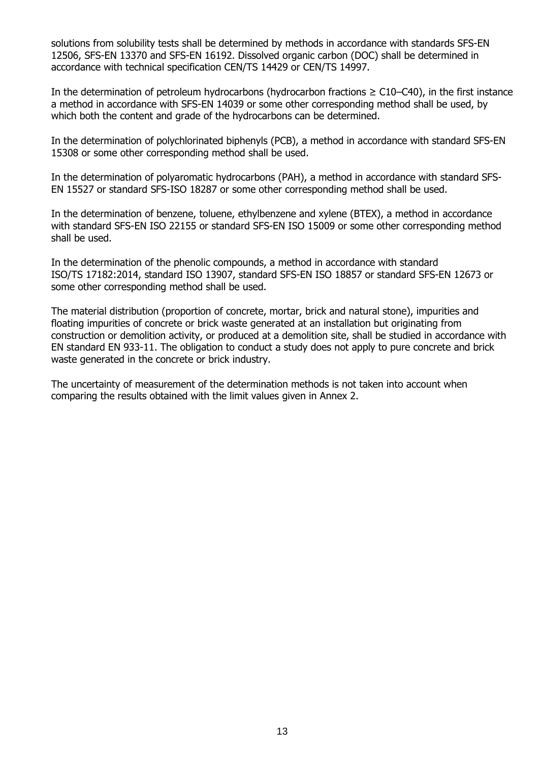solutions from solubility tests shall be determined by methods in accordance with standards SFS-EN 12506, SFS-EN 13370 and SFS-EN 16192. Dissolved organic carbon (DOC) shall be determined in accordance with technical specification CEN/TS 14429 or CEN/TS 14997.

In the determination of petroleum hydrocarbons (hydrocarbon fractions  $\geq$  C10–C40), in the first instance a method in accordance with SFS-EN 14039 or some other corresponding method shall be used, by which both the content and grade of the hydrocarbons can be determined.

In the determination of polychlorinated biphenyls (PCB), a method in accordance with standard SFS-EN 15308 or some other corresponding method shall be used.

In the determination of polyaromatic hydrocarbons (PAH), a method in accordance with standard SFS-EN 15527 or standard SFS-ISO 18287 or some other corresponding method shall be used.

In the determination of benzene, toluene, ethylbenzene and xylene (BTEX), a method in accordance with standard SFS-EN ISO 22155 or standard SFS-EN ISO 15009 or some other corresponding method shall be used.

In the determination of the phenolic compounds, a method in accordance with standard ISO/TS 17182:2014, standard ISO 13907, standard SFS-EN ISO 18857 or standard SFS-EN 12673 or some other corresponding method shall be used.

The material distribution (proportion of concrete, mortar, brick and natural stone), impurities and floating impurities of concrete or brick waste generated at an installation but originating from construction or demolition activity, or produced at a demolition site, shall be studied in accordance with EN standard EN 933-11. The obligation to conduct a study does not apply to pure concrete and brick waste generated in the concrete or brick industry.

The uncertainty of measurement of the determination methods is not taken into account when comparing the results obtained with the limit values given in Annex 2.